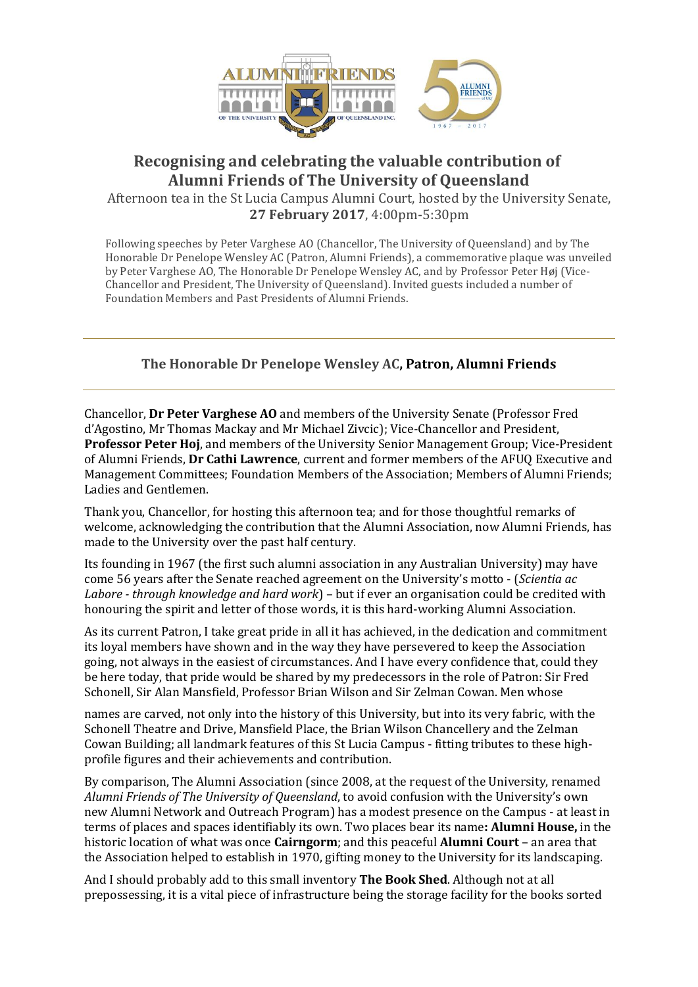

## **Recognising and celebrating the valuable contribution of Alumni Friends of The University of Queensland**

Afternoon tea in the St Lucia Campus Alumni Court, hosted by the University Senate, **27 February 2017**, 4:00pm-5:30pm

Following speeches by Peter Varghese AO (Chancellor, The University of Queensland) and by The Honorable Dr Penelope Wensley AC (Patron, Alumni Friends), a commemorative plaque was unveiled by Peter Varghese AO, The Honorable Dr Penelope Wensley AC, and by Professor Peter Høj (Vice-Chancellor and President, The University of Queensland). Invited guests included a number of Foundation Members and Past Presidents of Alumni Friends.

## **The Honorable Dr Penelope Wensley AC, Patron, Alumni Friends**

Chancellor, **Dr Peter Varghese AO** and members of the University Senate (Professor Fred d'Agostino, Mr Thomas Mackay and Mr Michael Zivcic); Vice-Chancellor and President, **Professor Peter Hoj**, and members of the University Senior Management Group; Vice-President of Alumni Friends, **Dr Cathi Lawrence**, current and former members of the AFUQ Executive and Management Committees; Foundation Members of the Association; Members of Alumni Friends; Ladies and Gentlemen.

Thank you, Chancellor, for hosting this afternoon tea; and for those thoughtful remarks of welcome, acknowledging the contribution that the Alumni Association, now Alumni Friends, has made to the University over the past half century.

Its founding in 1967 (the first such alumni association in any Australian University) may have come 56 years after the Senate reached agreement on the University's motto - (*Scientia ac Labore - through knowledge and hard work*) – but if ever an organisation could be credited with honouring the spirit and letter of those words, it is this hard-working Alumni Association.

As its current Patron, I take great pride in all it has achieved, in the dedication and commitment its loyal members have shown and in the way they have persevered to keep the Association going, not always in the easiest of circumstances. And I have every confidence that, could they be here today, that pride would be shared by my predecessors in the role of Patron: Sir Fred Schonell, Sir Alan Mansfield, Professor Brian Wilson and Sir Zelman Cowan. Men whose

names are carved, not only into the history of this University, but into its very fabric, with the Schonell Theatre and Drive, Mansfield Place, the Brian Wilson Chancellery and the Zelman Cowan Building; all landmark features of this St Lucia Campus - fitting tributes to these highprofile figures and their achievements and contribution.

By comparison, The Alumni Association (since 2008, at the request of the University, renamed *Alumni Friends of The University of Queensland*, to avoid confusion with the University's own new Alumni Network and Outreach Program) has a modest presence on the Campus - at least in terms of places and spaces identifiably its own. Two places bear its name**: Alumni House,** in the historic location of what was once **Cairngorm**; and this peaceful **Alumni Court** – an area that the Association helped to establish in 1970, gifting money to the University for its landscaping.

And I should probably add to this small inventory **The Book Shed**. Although not at all prepossessing, it is a vital piece of infrastructure being the storage facility for the books sorted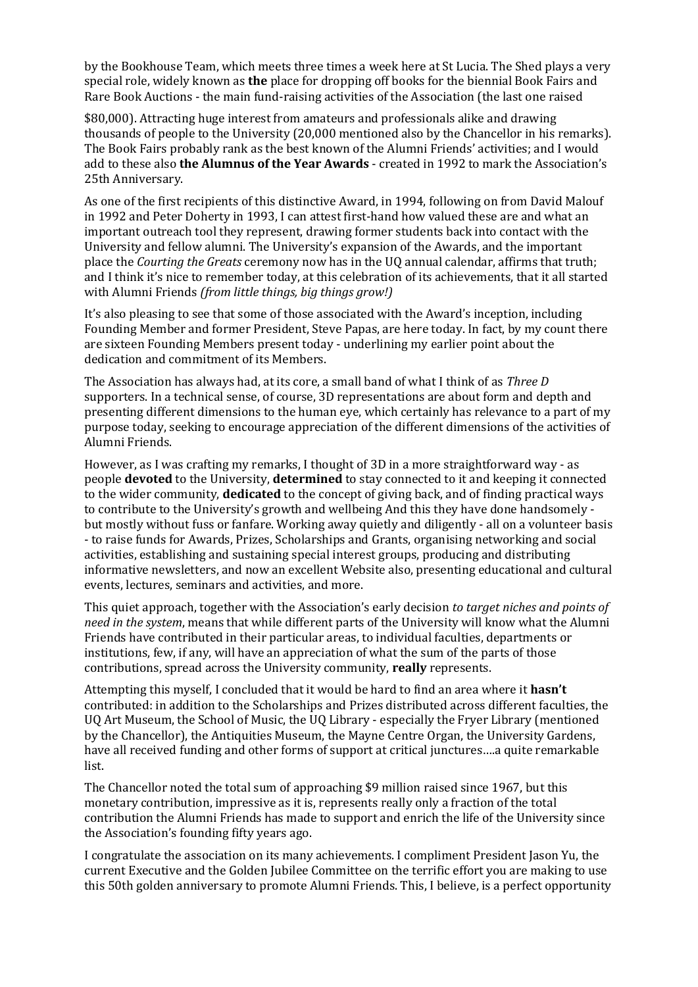by the Bookhouse Team, which meets three times a week here at St Lucia. The Shed plays a very special role, widely known as **the** place for dropping off books for the biennial Book Fairs and Rare Book Auctions - the main fund-raising activities of the Association (the last one raised

\$80,000). Attracting huge interest from amateurs and professionals alike and drawing thousands of people to the University (20,000 mentioned also by the Chancellor in his remarks). The Book Fairs probably rank as the best known of the Alumni Friends' activities; and I would add to these also **the Alumnus of the Year Awards** - created in 1992 to mark the Association's 25th Anniversary.

As one of the first recipients of this distinctive Award, in 1994, following on from David Malouf in 1992 and Peter Doherty in 1993, I can attest first-hand how valued these are and what an important outreach tool they represent, drawing former students back into contact with the University and fellow alumni. The University's expansion of the Awards, and the important place the *Courting the Greats* ceremony now has in the UQ annual calendar, affirms that truth; and I think it's nice to remember today, at this celebration of its achievements, that it all started with Alumni Friends *(from little things, big things grow!)*

It's also pleasing to see that some of those associated with the Award's inception, including Founding Member and former President, Steve Papas, are here today. In fact, by my count there are sixteen Founding Members present today - underlining my earlier point about the dedication and commitment of its Members.

The Association has always had, at its core, a small band of what I think of as *Three D*  supporters. In a technical sense, of course, 3D representations are about form and depth and presenting different dimensions to the human eye, which certainly has relevance to a part of my purpose today, seeking to encourage appreciation of the different dimensions of the activities of Alumni Friends.

However, as I was crafting my remarks, I thought of 3D in a more straightforward way - as people **devoted** to the University, **determined** to stay connected to it and keeping it connected to the wider community, **dedicated** to the concept of giving back, and of finding practical ways to contribute to the University's growth and wellbeing And this they have done handsomely but mostly without fuss or fanfare. Working away quietly and diligently - all on a volunteer basis - to raise funds for Awards, Prizes, Scholarships and Grants, organising networking and social activities, establishing and sustaining special interest groups, producing and distributing informative newsletters, and now an excellent Website also, presenting educational and cultural events, lectures, seminars and activities, and more.

This quiet approach, together with the Association's early decision *to target niches and points of need in the system*, means that while different parts of the University will know what the Alumni Friends have contributed in their particular areas, to individual faculties, departments or institutions, few, if any, will have an appreciation of what the sum of the parts of those contributions, spread across the University community, **really** represents.

Attempting this myself, I concluded that it would be hard to find an area where it **hasn't**  contributed: in addition to the Scholarships and Prizes distributed across different faculties, the UQ Art Museum, the School of Music, the UQ Library - especially the Fryer Library (mentioned by the Chancellor), the Antiquities Museum, the Mayne Centre Organ, the University Gardens, have all received funding and other forms of support at critical junctures….a quite remarkable list.

The Chancellor noted the total sum of approaching \$9 million raised since 1967, but this monetary contribution, impressive as it is, represents really only a fraction of the total contribution the Alumni Friends has made to support and enrich the life of the University since the Association's founding fifty years ago.

I congratulate the association on its many achievements. I compliment President Jason Yu, the current Executive and the Golden Jubilee Committee on the terrific effort you are making to use this 50th golden anniversary to promote Alumni Friends. This, I believe, is a perfect opportunity